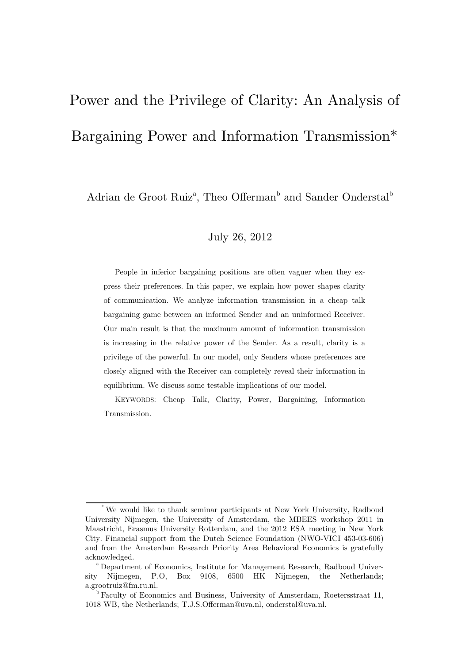# Power and the Privilege of Clarity: An Analysis of Bargaining Power and Information Transmission\*

Adrian de Groot Ruiz<sup>a</sup>, Theo Offerman<sup>b</sup> and Sander Onderstal<sup>b</sup>

### July 26, 2012

People in inferior bargaining positions are often vaguer when they express their preferences. In this paper, we explain how power shapes clarity of communication. We analyze information transmission in a cheap talk bargaining game between an informed Sender and an uninformed Receiver. Our main result is that the maximum amount of information transmission is increasing in the relative power of the Sender. As a result, clarity is a privilege of the powerful. In our model, only Senders whose preferences are closely aligned with the Receiver can completely reveal their information in equilibrium. We discuss some testable implications of our model.

KEYWORDS: Cheap Talk, Clarity, Power, Bargaining, Information Transmission.

We would like to thank seminar participants at New York University, Radboud University Nijmegen, the University of Amsterdam, the MBEES workshop 2011 in Maastricht, Erasmus University Rotterdam, and the 2012 ESA meeting in New York City. Financial support from the Dutch Science Foundation (NWO-VICI 453-03-606) and from the Amsterdam Research Priority Area Behavioral Economics is gratefully acknowledged.<br><sup>a</sup> Department of Economics, Institute for Management Research, Radboud Univer-

sity Nijmegen, P.O, Box 9108, 6500 HK Nijmegen, the Netherlands; a.grootruiz@fm.ru.nl.

<sup>&</sup>lt;sup>b</sup> Faculty of Economics and Business, University of Amsterdam, Roetersstraat 11, 1018 WB, the Netherlands; T.J.S.Offerman@uva.nl, onderstal@uva.nl.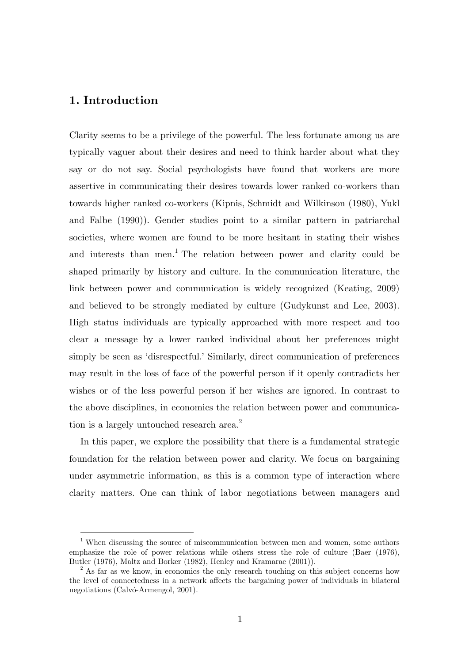## **1. Introduction**

 $\overline{a}$ 

Clarity seems to be a privilege of the powerful. The less fortunate among us are typically vaguer about their desires and need to think harder about what they say or do not say. Social psychologists have found that workers are more assertive in communicating their desires towards lower ranked co-workers than towards higher ranked co-workers (Kipnis, Schmidt and Wilkinson (1980), Yukl and Falbe (1990)). Gender studies point to a similar pattern in patriarchal societies, where women are found to be more hesitant in stating their wishes and interests than men.<sup>1</sup> The relation between power and clarity could be shaped primarily by history and culture. In the communication literature, the link between power and communication is widely recognized (Keating, 2009) and believed to be strongly mediated by culture (Gudykunst and Lee, 2003). High status individuals are typically approached with more respect and too clear a message by a lower ranked individual about her preferences might simply be seen as 'disrespectful.' Similarly, direct communication of preferences may result in the loss of face of the powerful person if it openly contradicts her wishes or of the less powerful person if her wishes are ignored. In contrast to the above disciplines, in economics the relation between power and communication is a largely untouched research area.<sup>2</sup>

In this paper, we explore the possibility that there is a fundamental strategic foundation for the relation between power and clarity. We focus on bargaining under asymmetric information, as this is a common type of interaction where clarity matters. One can think of labor negotiations between managers and

<sup>&</sup>lt;sup>1</sup> When discussing the source of miscommunication between men and women, some authors emphasize the role of power relations while others stress the role of culture (Baer (1976), Butler (1976), Maltz and Borker (1982), Henley and Kramarae (2001)).

<sup>&</sup>lt;sup>2</sup> As far as we know, in economics the only research touching on this subject concerns how the level of connectedness in a network affects the bargaining power of individuals in bilateral negotiations (Calvó-Armengol, 2001).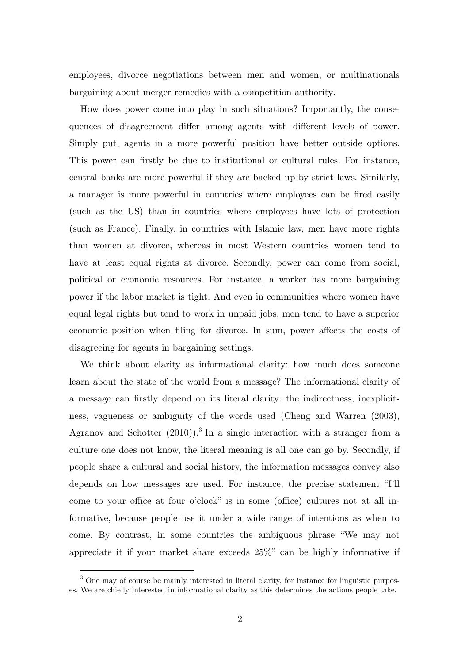employees, divorce negotiations between men and women, or multinationals bargaining about merger remedies with a competition authority.

How does power come into play in such situations? Importantly, the consequences of disagreement differ among agents with different levels of power. Simply put, agents in a more powerful position have better outside options. This power can firstly be due to institutional or cultural rules. For instance, central banks are more powerful if they are backed up by strict laws. Similarly, a manager is more powerful in countries where employees can be fired easily (such as the US) than in countries where employees have lots of protection (such as France). Finally, in countries with Islamic law, men have more rights than women at divorce, whereas in most Western countries women tend to have at least equal rights at divorce. Secondly, power can come from social, political or economic resources. For instance, a worker has more bargaining power if the labor market is tight. And even in communities where women have equal legal rights but tend to work in unpaid jobs, men tend to have a superior economic position when filing for divorce. In sum, power affects the costs of disagreeing for agents in bargaining settings.

We think about clarity as informational clarity: how much does someone learn about the state of the world from a message? The informational clarity of a message can firstly depend on its literal clarity: the indirectness, inexplicitness, vagueness or ambiguity of the words used (Cheng and Warren (2003), Agranov and Schotter  $(2010)$ .<sup>3</sup> In a single interaction with a stranger from a culture one does not know, the literal meaning is all one can go by. Secondly, if people share a cultural and social history, the information messages convey also depends on how messages are used. For instance, the precise statement "I'll come to your office at four o'clock" is in some (office) cultures not at all informative, because people use it under a wide range of intentions as when to come. By contrast, in some countries the ambiguous phrase "We may not appreciate it if your market share exceeds 25%" can be highly informative if

 $\overline{a}$ 

<sup>&</sup>lt;sup>3</sup> One may of course be mainly interested in literal clarity, for instance for linguistic purposes. We are chiefly interested in informational clarity as this determines the actions people take.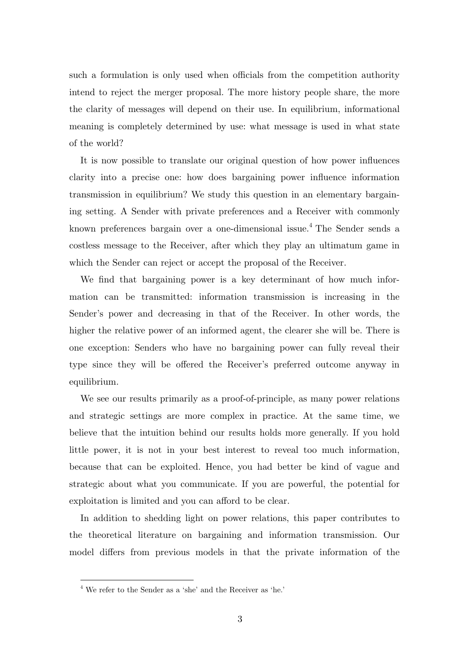such a formulation is only used when officials from the competition authority intend to reject the merger proposal. The more history people share, the more the clarity of messages will depend on their use. In equilibrium, informational meaning is completely determined by use: what message is used in what state of the world?

It is now possible to translate our original question of how power influences clarity into a precise one: how does bargaining power influence information transmission in equilibrium? We study this question in an elementary bargaining setting. A Sender with private preferences and a Receiver with commonly known preferences bargain over a one-dimensional issue.<sup>4</sup> The Sender sends a costless message to the Receiver, after which they play an ultimatum game in which the Sender can reject or accept the proposal of the Receiver.

We find that bargaining power is a key determinant of how much information can be transmitted: information transmission is increasing in the Sender's power and decreasing in that of the Receiver. In other words, the higher the relative power of an informed agent, the clearer she will be. There is one exception: Senders who have no bargaining power can fully reveal their type since they will be offered the Receiver's preferred outcome anyway in equilibrium.

We see our results primarily as a proof-of-principle, as many power relations and strategic settings are more complex in practice. At the same time, we believe that the intuition behind our results holds more generally. If you hold little power, it is not in your best interest to reveal too much information, because that can be exploited. Hence, you had better be kind of vague and strategic about what you communicate. If you are powerful, the potential for exploitation is limited and you can afford to be clear.

In addition to shedding light on power relations, this paper contributes to the theoretical literature on bargaining and information transmission. Our model differs from previous models in that the private information of the

 $\overline{a}$ 

 $^4$  We refer to the Sender as a 'she' and the Receiver as 'he.'  $\,$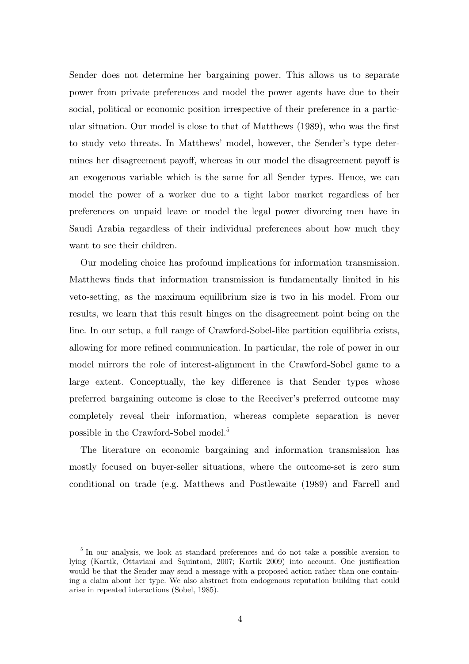Sender does not determine her bargaining power. This allows us to separate power from private preferences and model the power agents have due to their social, political or economic position irrespective of their preference in a particular situation. Our model is close to that of Matthews (1989), who was the first to study veto threats. In Matthews' model, however, the Sender's type determines her disagreement payoff, whereas in our model the disagreement payoff is an exogenous variable which is the same for all Sender types. Hence, we can model the power of a worker due to a tight labor market regardless of her preferences on unpaid leave or model the legal power divorcing men have in Saudi Arabia regardless of their individual preferences about how much they want to see their children.

Our modeling choice has profound implications for information transmission. Matthews finds that information transmission is fundamentally limited in his veto-setting, as the maximum equilibrium size is two in his model. From our results, we learn that this result hinges on the disagreement point being on the line. In our setup, a full range of Crawford-Sobel-like partition equilibria exists, allowing for more refined communication. In particular, the role of power in our model mirrors the role of interest-alignment in the Crawford-Sobel game to a large extent. Conceptually, the key difference is that Sender types whose preferred bargaining outcome is close to the Receiver's preferred outcome may completely reveal their information, whereas complete separation is never possible in the Crawford-Sobel model.<sup>5</sup>

The literature on economic bargaining and information transmission has mostly focused on buyer-seller situations, where the outcome-set is zero sum conditional on trade (e.g. Matthews and Postlewaite (1989) and Farrell and

<sup>&</sup>lt;sup>5</sup> In our analysis, we look at standard preferences and do not take a possible aversion to lying (Kartik, Ottaviani and Squintani, 2007; Kartik 2009) into account. One justification would be that the Sender may send a message with a proposed action rather than one containing a claim about her type. We also abstract from endogenous reputation building that could arise in repeated interactions (Sobel, 1985).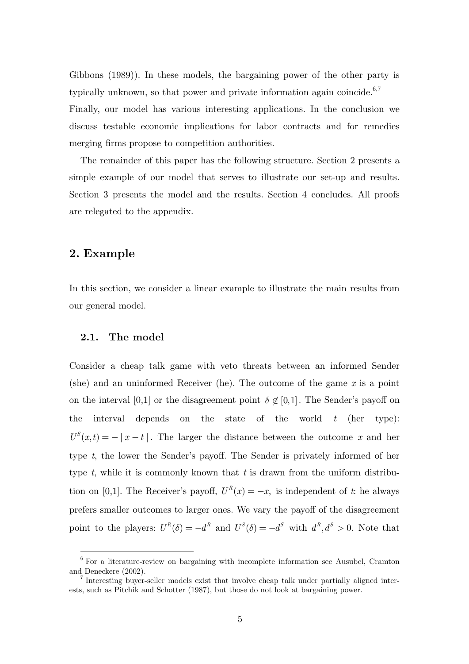Gibbons (1989)). In these models, the bargaining power of the other party is typically unknown, so that power and private information again coincide. $6,7$ Finally, our model has various interesting applications. In the conclusion we discuss testable economic implications for labor contracts and for remedies merging firms propose to competition authorities.

The remainder of this paper has the following structure. Section 2 presents a simple example of our model that serves to illustrate our set-up and results. Section 3 presents the model and the results. Section 4 concludes. All proofs are relegated to the appendix.

## **2. Example**

 $\overline{a}$ 

In this section, we consider a linear example to illustrate the main results from our general model.

#### **2.1. The model**

Consider a cheap talk game with veto threats between an informed Sender (she) and an uninformed Receiver (he). The outcome of the game *x* is a point on the interval [0,1] or the disagreement point  $\delta \notin [0,1]$ . The Sender's payoff on the interval depends on the state of the world *t* (her type):  $U^{S}(x,t) = - |x-t|$ . The larger the distance between the outcome x and her type *t*, the lower the Sender's payoff. The Sender is privately informed of her type *t*, while it is commonly known that *t* is drawn from the uniform distribution on [0,1]. The Receiver's payoff,  $U^R(x) = -x$ , is independent of *t*: he always prefers smaller outcomes to larger ones. We vary the payoff of the disagreement point to the players:  $U^R(\delta) = -d^R$  and  $U^S(\delta) = -d^S$  with  $d^R, d^S > 0$ . Note that

 $6$  For a literature-review on bargaining with incomplete information see Ausubel, Cramton and Deneckere (2002).

<sup>&</sup>lt;sup>7</sup> Interesting buyer-seller models exist that involve cheap talk under partially aligned interests, such as Pitchik and Schotter (1987), but those do not look at bargaining power.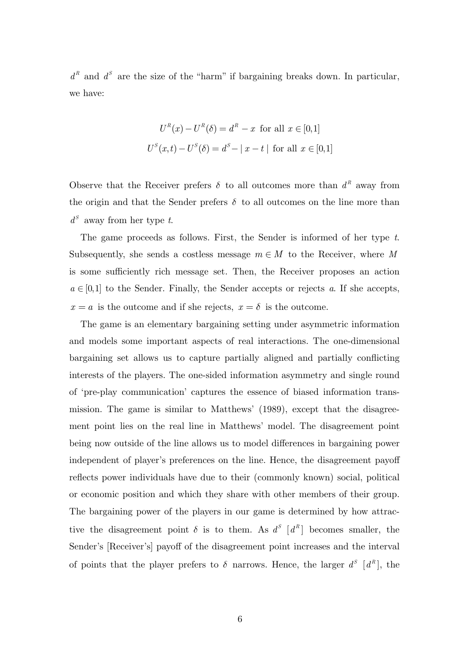$d<sup>R</sup>$  and  $d<sup>S</sup>$  are the size of the "harm" if bargaining breaks down. In particular, we have:

$$
U^{R}(x) - U^{R}(\delta) = d^{R} - x \text{ for all } x \in [0,1]
$$

$$
U^{S}(x,t) - U^{S}(\delta) = d^{S} - |x - t| \text{ for all } x \in [0,1]
$$

Observe that the Receiver prefers  $\delta$  to all outcomes more than  $d^R$  away from the origin and that the Sender prefers  $\delta$  to all outcomes on the line more than  $d<sup>S</sup>$  away from her type *t*.

The game proceeds as follows. First, the Sender is informed of her type *t*. Subsequently, she sends a costless message  $m \in M$  to the Receiver, where M is some sufficiently rich message set. Then, the Receiver proposes an action  $a \in [0,1]$  to the Sender. Finally, the Sender accepts or rejects *a*. If she accepts,  $x = a$  is the outcome and if she rejects,  $x = \delta$  is the outcome.

The game is an elementary bargaining setting under asymmetric information and models some important aspects of real interactions. The one-dimensional bargaining set allows us to capture partially aligned and partially conflicting interests of the players. The one-sided information asymmetry and single round of 'pre-play communication' captures the essence of biased information transmission. The game is similar to Matthews' (1989), except that the disagreement point lies on the real line in Matthews' model. The disagreement point being now outside of the line allows us to model differences in bargaining power independent of player's preferences on the line. Hence, the disagreement payoff reflects power individuals have due to their (commonly known) social, political or economic position and which they share with other members of their group. The bargaining power of the players in our game is determined by how attractive the disagreement point  $\delta$  is to them. As  $d^S$  [ $d^R$ ] becomes smaller, the Sender's [Receiver's] payoff of the disagreement point increases and the interval of points that the player prefers to  $\delta$  narrows. Hence, the larger  $d^S$  [ $d^R$ ], the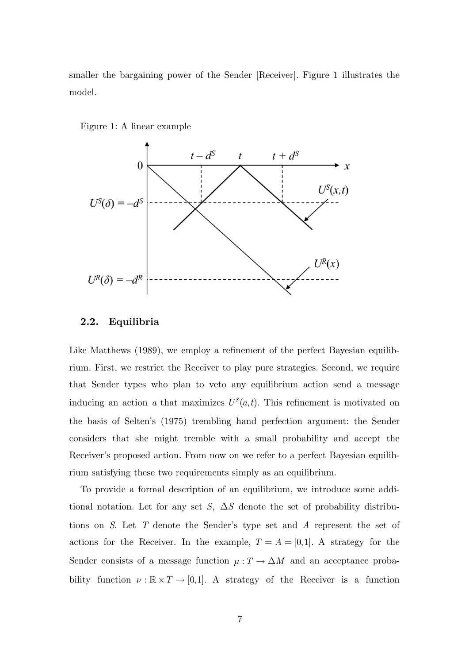smaller the bargaining power of the Sender [Receiver]. Figure 1 illustrates the model.





#### **2.2. Equilibria**

Like Matthews (1989), we employ a refinement of the perfect Bayesian equilibrium. First, we restrict the Receiver to play pure strategies. Second, we require that Sender types who plan to veto any equilibrium action send a message inducing an action *a* that maximizes  $U^S(a,t)$ . This refinement is motivated on the basis of Selten's (1975) trembling hand perfection argument: the Sender considers that she might tremble with a small probability and accept the Receiver's proposed action. From now on we refer to a perfect Bayesian equilibrium satisfying these two requirements simply as an equilibrium.

To provide a formal description of an equilibrium, we introduce some additional notation. Let for any set *S*,  $\Delta S$  denote the set of probability distributions on *S*. Let *T* denote the Sender's type set and *A* represent the set of actions for the Receiver. In the example,  $T = A = [0,1]$ . A strategy for the Sender consists of a message function  $\mu: T \to \Delta M$  and an acceptance probability function  $\nu : \mathbb{R} \times T \to [0,1]$ . A strategy of the Receiver is a function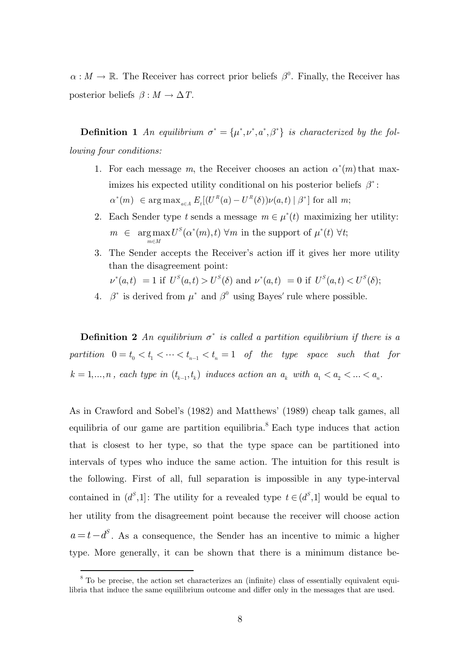$\alpha : M \to \mathbb{R}$ . The Receiver has correct prior beliefs  $\beta^0$ . Finally, the Receiver has posterior beliefs  $\beta : M \to \Delta T$ .

**Definition 1** An equilibrium  $\sigma^* = {\mu^*, \nu^*, a^*, \beta^* }$  is characterized by the fol*lowing four conditions:*

- 1. For each message *m*, the Receiver chooses an action  $\alpha^*(m)$  that maximizes his expected utility conditional on his posterior beliefs  $\beta^*$ :  $\alpha^*(m) \in \arg \max_{a \in A} E_i[(U^R(a) - U^R(\delta))\nu(a, t) | \beta^*]$  for all m;
- 2. Each Sender type *t* sends a message  $m \in \mu^*(t)$  maximizing her utility:  $\in$  argmax  $U^S(\alpha^*(m), t)$   $\forall m$  in the support of  $\mu^*(t)$   $\forall t$ ;  $m \in M$  $m \in \arg \max_{m \in M} U^{S}(\alpha^*(m), t)$   $\forall m$  in the support of  $\mu^*(t)$   $\forall t$  $\in$  argmax  $U^S(\alpha^*(m), t)$   $\forall m$  in the support of  $\mu^*(t)$   $\forall$
- 3. The Sender accepts the Receiver's action iff it gives her more utility than the disagreement point:

$$
\nu^*(a,t) = 1 \text{ if } U^S(a,t) > U^S(\delta) \text{ and } \nu^*(a,t) = 0 \text{ if } U^S(a,t) < U^S(\delta);
$$

4.  $\beta^*$  is derived from  $\mu^*$  and  $\beta^0$  using Bayes' rule where possible.

**Definition 2** An equilibrium  $\sigma^*$  is called a partition equilibrium if there is a  $partition \quad 0 = t_0 < t_1 < \cdots < t_{n-1} < t_n = 1 \quad of \quad the \quad type \quad space \quad such \quad that \quad for$  $k = 1, ..., n$ , each type in  $(t_{k-1}, t_k)$  induces action an  $a_k$  with  $a_1 < a_2 < ... < a_n$ .

As in Crawford and Sobel's (1982) and Matthews' (1989) cheap talk games, all equilibria of our game are partition equilibria.<sup>8</sup> Each type induces that action that is closest to her type, so that the type space can be partitioned into intervals of types who induce the same action. The intuition for this result is the following. First of all, full separation is impossible in any type-interval contained in  $(d<sup>S</sup>, 1]$ : The utility for a revealed type  $t \in (d<sup>S</sup>, 1]$  would be equal to her utility from the disagreement point because the receiver will choose action  $a = t - d^S$ . As a consequence, the Sender has an incentive to mimic a higher type. More generally, it can be shown that there is a minimum distance be-

<sup>&</sup>lt;sup>8</sup> To be precise, the action set characterizes an (infinite) class of essentially equivalent equilibria that induce the same equilibrium outcome and differ only in the messages that are used.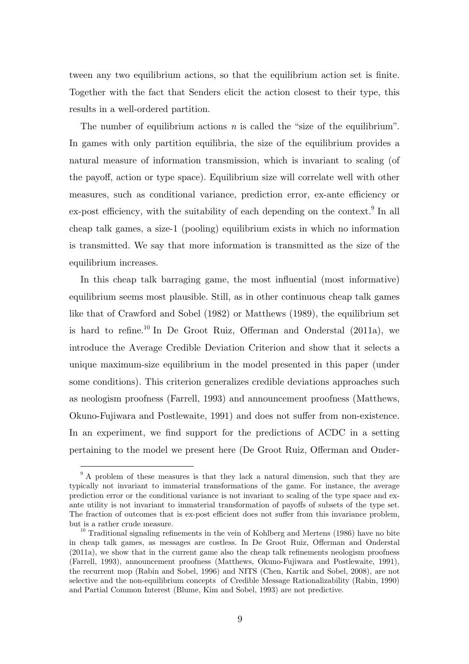tween any two equilibrium actions, so that the equilibrium action set is finite. Together with the fact that Senders elicit the action closest to their type, this results in a well-ordered partition.

The number of equilibrium actions *n* is called the "size of the equilibrium". In games with only partition equilibria, the size of the equilibrium provides a natural measure of information transmission, which is invariant to scaling (of the payoff, action or type space). Equilibrium size will correlate well with other measures, such as conditional variance, prediction error, ex-ante efficiency or  $ex$ -post efficiency, with the suitability of each depending on the context.<sup>9</sup> In all cheap talk games, a size-1 (pooling) equilibrium exists in which no information is transmitted. We say that more information is transmitted as the size of the equilibrium increases.

In this cheap talk barraging game, the most influential (most informative) equilibrium seems most plausible. Still, as in other continuous cheap talk games like that of Crawford and Sobel (1982) or Matthews (1989), the equilibrium set is hard to refine.<sup>10</sup> In De Groot Ruiz, Offerman and Onderstal  $(2011a)$ , we introduce the Average Credible Deviation Criterion and show that it selects a unique maximum-size equilibrium in the model presented in this paper (under some conditions). This criterion generalizes credible deviations approaches such as neologism proofness (Farrell, 1993) and announcement proofness (Matthews, Okuno-Fujiwara and Postlewaite, 1991) and does not suffer from non-existence. In an experiment, we find support for the predictions of ACDC in a setting pertaining to the model we present here (De Groot Ruiz, Offerman and Onder-

<sup>&</sup>lt;sup>9</sup> A problem of these measures is that they lack a natural dimension, such that they are typically not invariant to immaterial transformations of the game. For instance, the average prediction error or the conditional variance is not invariant to scaling of the type space and exante utility is not invariant to immaterial transformation of payoffs of subsets of the type set. The fraction of outcomes that is ex-post efficient does not suffer from this invariance problem, but is a rather crude measure.<br><sup>10</sup> Traditional signaling refinements in the vein of Kohlberg and Mertens (1986) have no bite

in cheap talk games, as messages are costless. In De Groot Ruiz, Offerman and Onderstal (2011a), we show that in the current game also the cheap talk refinements neologism proofness (Farrell, 1993), announcement proofness (Matthews, Okuno-Fujiwara and Postlewaite, 1991), the recurrent mop (Rabin and Sobel, 1996) and NITS (Chen, Kartik and Sobel, 2008), are not selective and the non-equilibrium concepts of Credible Message Rationalizability (Rabin, 1990) and Partial Common Interest (Blume, Kim and Sobel, 1993) are not predictive.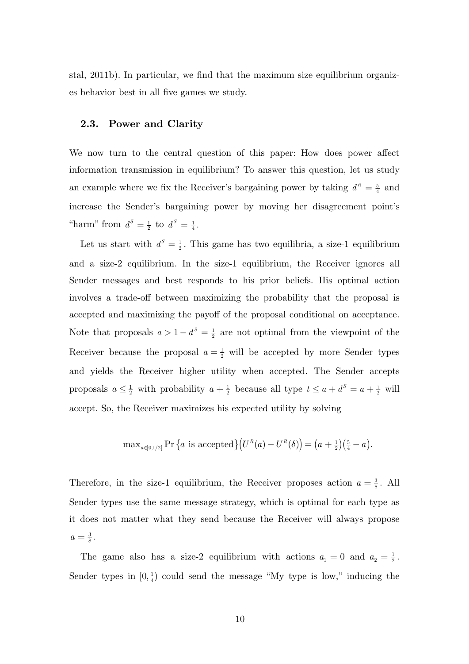stal, 2011b). In particular, we find that the maximum size equilibrium organizes behavior best in all five games we study.

#### **2.3. Power and Clarity**

We now turn to the central question of this paper: How does power affect information transmission in equilibrium? To answer this question, let us study an example where we fix the Receiver's bargaining power by taking  $d^R = \frac{5}{4}$  and increase the Sender's bargaining power by moving her disagreement point's "harm" from  $d^S = \frac{1}{2}$  to  $d^S = \frac{1}{4}$ .

Let us start with  $d^s = \frac{1}{2}$ . This game has two equilibria, a size-1 equilibrium and a size-2 equilibrium. In the size-1 equilibrium, the Receiver ignores all Sender messages and best responds to his prior beliefs. His optimal action involves a trade-off between maximizing the probability that the proposal is accepted and maximizing the payoff of the proposal conditional on acceptance. Note that proposals  $a > 1 - d^s = \frac{1}{2}$  are not optimal from the viewpoint of the Receiver because the proposal  $a = \frac{1}{2}$  will be accepted by more Sender types and yields the Receiver higher utility when accepted. The Sender accepts proposals  $a \leq \frac{1}{2}$  with probability  $a + \frac{1}{2}$  because all type  $t \leq a + d^s = a + \frac{1}{2}$  will accept. So, the Receiver maximizes his expected utility by solving

$$
\max_{a\in[0,1/2]} \Pr\left\{a \text{ is accepted}\right\}\left(U^R(a) - U^R(\delta)\right) = \left(a + \frac{1}{2}\right)\left(\frac{5}{4} - a\right).
$$

Therefore, in the size-1 equilibrium, the Receiver proposes action  $a = \frac{3}{8}$ . All Sender types use the same message strategy, which is optimal for each type as it does not matter what they send because the Receiver will always propose  $a = \frac{3}{8}$ .

The game also has a size-2 equilibrium with actions  $a_1 = 0$  and  $a_2 = \frac{1}{2}$ . Sender types in  $[0, \frac{1}{4})$  could send the message "My type is low," inducing the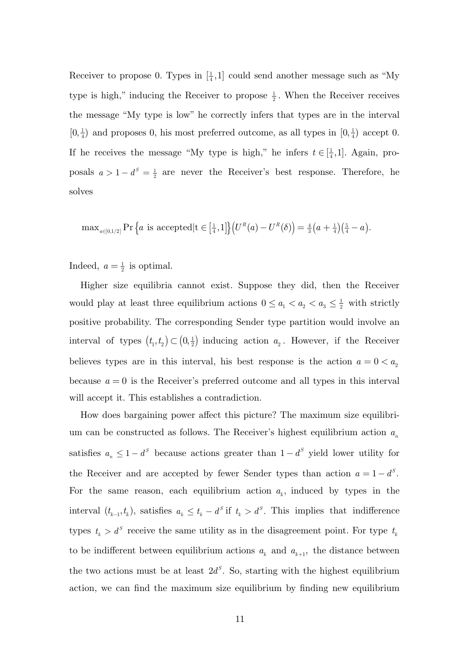Receiver to propose 0. Types in  $\left[\frac{1}{4},1\right]$  could send another message such as "My type is high," inducing the Receiver to propose  $\frac{1}{2}$ . When the Receiver receives the message "My type is low" he correctly infers that types are in the interval  $[0, \frac{1}{4})$  and proposes 0, his most preferred outcome, as all types in  $[0, \frac{1}{4})$  accept 0. If he receives the message "My type is high," he infers  $t \in [\frac{1}{4}, 1]$ . Again, proposals  $a > 1 - d^s = \frac{1}{2}$  are never the Receiver's best response. Therefore, he solves

 $\max_{a \in [0,1/2]} \Pr\left\{ a \text{ is accepted} | t \in \left[\frac{1}{4},1\right] \right\} \left( U^R(a) - U^R(\delta) \right) = \frac{4}{3} \left( a + \frac{1}{4} \right) \left( \frac{5}{4} - a \right).$ 

Indeed,  $a = \frac{1}{2}$  is optimal.

Higher size equilibria cannot exist. Suppose they did, then the Receiver would play at least three equilibrium actions  $0 \le a_1 < a_2 < a_3 \le \frac{1}{2}$  with strictly positive probability. The corresponding Sender type partition would involve an interval of types  $(t_1, t_2) \subset (0, \frac{1}{2})$  inducing action  $a_2$ . However, if the Receiver believes types are in this interval, his best response is the action  $a = 0 < a_2$ because  $a = 0$  is the Receiver's preferred outcome and all types in this interval will accept it. This establishes a contradiction.

How does bargaining power affect this picture? The maximum size equilibrium can be constructed as follows. The Receiver's highest equilibrium action  $a_n$ satisfies  $a_n \leq 1 - d^s$  because actions greater than  $1 - d^s$  yield lower utility for the Receiver and are accepted by fewer Sender types than action  $a = 1 - d^s$ . For the same reason, each equilibrium action  $a_k$ , induced by types in the interval  $(t_{k-1}, t_k)$ , satisfies  $a_k \leq t_k - d^s$  if  $t_k > d^s$ . This implies that indifference types  $t_k > d^s$  receive the same utility as in the disagreement point. For type  $t_k$ to be indifferent between equilibrium actions  $a_k$  and  $a_{k+1}$ , the distance between the two actions must be at least  $2d^s$ . So, starting with the highest equilibrium action, we can find the maximum size equilibrium by finding new equilibrium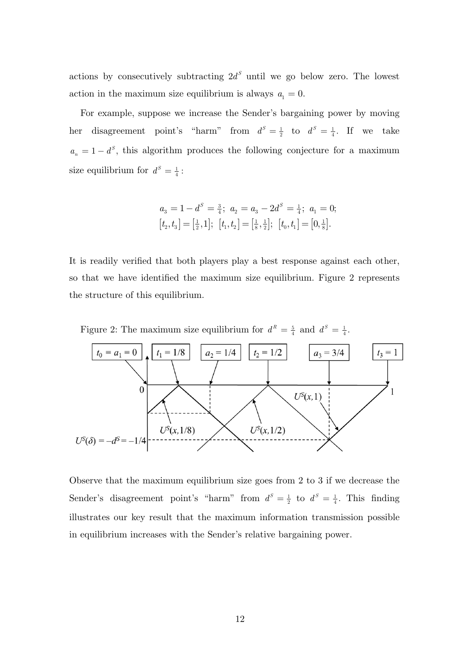actions by consecutively subtracting  $2d^s$  until we go below zero. The lowest action in the maximum size equilibrium is always  $a_1 = 0$ .

For example, suppose we increase the Sender's bargaining power by moving her disagreement point's "harm" from  $d^S = \frac{1}{2}$  to  $d^S = \frac{1}{4}$ . If we take  $a_n = 1 - d^s$ , this algorithm produces the following conjecture for a maximum size equilibrium for  $d^S = \frac{1}{4}$ :

$$
a_3 = 1 - d^S = \frac{3}{4}; \ a_2 = a_3 - 2d^S = \frac{1}{4}; \ a_1 = 0;
$$
  

$$
[t_2, t_3] = \left[\frac{1}{2}, 1\right]; \ [t_1, t_2] = \left[\frac{1}{8}, \frac{1}{2}\right]; \ [t_0, t_1] = \left[0, \frac{1}{8}\right].
$$

It is readily verified that both players play a best response against each other, so that we have identified the maximum size equilibrium. Figure 2 represents the structure of this equilibrium.

Figure 2: The maximum size equilibrium for  $d^R = \frac{5}{4}$  and  $d^S = \frac{1}{4}$ .



Observe that the maximum equilibrium size goes from 2 to 3 if we decrease the Sender's disagreement point's "harm" from  $d^S = \frac{1}{2}$  to  $d^S = \frac{1}{4}$ . This finding illustrates our key result that the maximum information transmission possible in equilibrium increases with the Sender's relative bargaining power.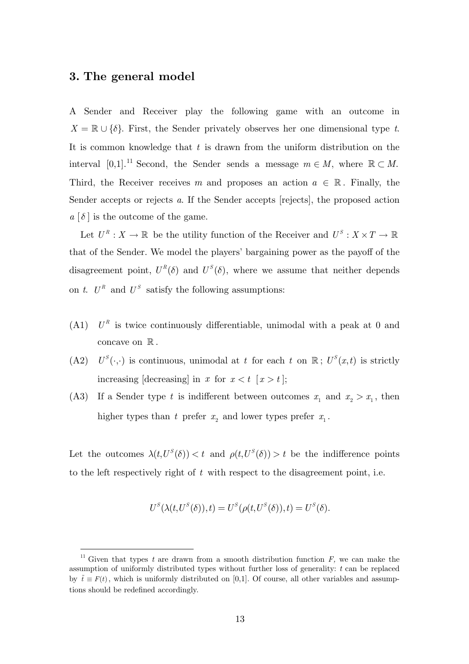## **3. The general model**

 $\overline{a}$ 

A Sender and Receiver play the following game with an outcome in  $X = \mathbb{R} \cup \{\delta\}$ . First, the Sender privately observes her one dimensional type *t*. It is common knowledge that *t* is drawn from the uniform distribution on the interval [0,1].<sup>11</sup> Second, the Sender sends a message  $m \in M$ , where  $\mathbb{R} \subset M$ . Third, the Receiver receives *m* and proposes an action  $a \in \mathbb{R}$ . Finally, the Sender accepts or rejects *a*. If the Sender accepts [rejects], the proposed action  $a \left[ \delta \right]$  is the outcome of the game.

Let  $U^R : X \to \mathbb{R}$  be the utility function of the Receiver and  $U^S : X \times T \to \mathbb{R}$ that of the Sender. We model the players' bargaining power as the payoff of the disagreement point,  $U^R(\delta)$  and  $U^S(\delta)$ , where we assume that neither depends on *t*.  $U^R$  and  $U^S$  satisfy the following assumptions:

- (A1)  $U^R$  is twice continuously differentiable, unimodal with a peak at 0 and concave on  $\mathbb R$ .
- (A2)  $U^S(\cdot, \cdot)$  is continuous, unimodal at *t* for each *t* on  $\mathbb{R}$ ;  $U^S(x,t)$  is strictly increasing [decreasing] in *x* for  $x < t$  [ $x > t$ ];
- (A3) If a Sender type *t* is indifferent between outcomes  $x_1$  and  $x_2 > x_1$ , then higher types than *t* prefer  $x_2$  and lower types prefer  $x_1$ .

Let the outcomes  $\lambda(t, U^S(\delta)) < t$  and  $\rho(t, U^S(\delta)) > t$  be the indifference points to the left respectively right of *t* with respect to the disagreement point, i.e.

$$
U^{S}(\lambda(t, U^{S}(\delta)), t) = U^{S}(\rho(t, U^{S}(\delta)), t) = U^{S}(\delta).
$$

<sup>&</sup>lt;sup>11</sup> Given that types *t* are drawn from a smooth distribution function  $F$ , we can make the assumption of uniformly distributed types without further loss of generality: *t* can be replaced by  $\tilde{t} \equiv F(t)$ , which is uniformly distributed on [0,1]. Of course, all other variables and assumptions should be redefined accordingly.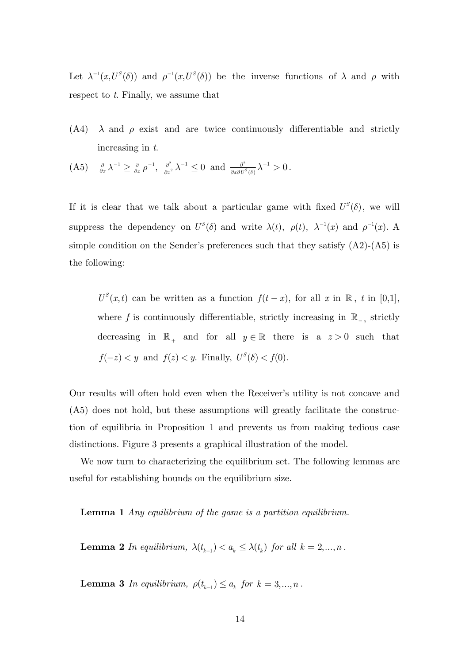Let  $\lambda^{-1}(x, U^S(\delta))$  and  $\rho^{-1}(x, U^S(\delta))$  be the inverse functions of  $\lambda$  and  $\rho$  with respect to *t*. Finally, we assume that

- (A4)  $\lambda$  and  $\rho$  exist and are twice continuously differentiable and strictly increasing in *t*.
- $(A5)$   $\frac{\partial}{\partial x}\lambda^{-1} \geq \frac{\partial}{\partial x}\rho^{-1}, \frac{\partial^2}{\partial x^2}\lambda^{-1} \leq 0$  and  $\frac{\partial^2}{\partial x \partial U^S(\delta)}\lambda^{-1} > 0.$

If it is clear that we talk about a particular game with fixed  $U^{S}(\delta)$ , we will suppress the dependency on  $U^S(\delta)$  and write  $\lambda(t)$ ,  $\rho(t)$ ,  $\lambda^{-1}(x)$  and  $\rho^{-1}(x)$ . A simple condition on the Sender's preferences such that they satisfy  $(A2)-(A5)$  is the following:

 $U^{S}(x,t)$  can be written as a function  $f(t-x)$ , for all  $x$  in  $\mathbb{R}$ ,  $t$  in [0,1], where  $f$  is continuously differentiable, strictly increasing in  $\mathbb{R}_-$ , strictly decreasing in  $\mathbb{R}_+$  and for all  $y \in \mathbb{R}$  there is a  $z > 0$  such that  $f(-z) < y$  and  $f(z) < y$ . Finally,  $U^{S}(\delta) < f(0)$ .

Our results will often hold even when the Receiver's utility is not concave and (A5) does not hold, but these assumptions will greatly facilitate the construction of equilibria in Proposition 1 and prevents us from making tedious case distinctions. Figure 3 presents a graphical illustration of the model.

We now turn to characterizing the equilibrium set. The following lemmas are useful for establishing bounds on the equilibrium size.

**Lemma 1** *Any equilibrium of the game is a partition equilibrium.* 

**Lemma 2** *In equilibrium,*  $\lambda(t_{k-1}) < a_k \leq \lambda(t_k)$  *for all k* = 2,..., *n*.

**Lemma 3** *In equilibrium,*  $\rho(t_{k-1}) \leq a_k$  *for*  $k = 3,..., n$ .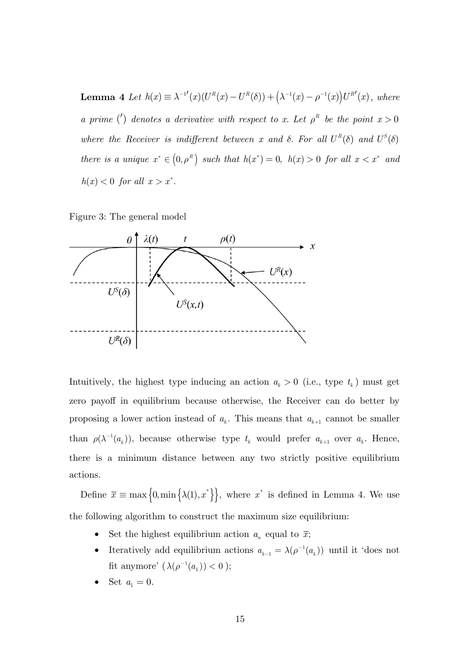**Lemma 4** Let  $h(x) \equiv \lambda^{-1}(x)(U^R(x) - U^R(\delta)) + (\lambda^{-1}(x) - \rho^{-1}(x))U^{R'}(x)$ , where *a prime* ( $\prime$ ) *denotes a derivative with respect to x. Let*  $\rho^R$  *be the point*  $x > 0$ *where the Receiver is indifferent between x and*  $\delta$ *. For all*  $U^R(\delta)$  *and*  $U^S(\delta)$ *there is a unique*  $x^* \in (0, \rho^R)$  *such that*  $h(x^*) = 0$ ,  $h(x) > 0$  *for all*  $x < x^*$  *and*  $h(x) < 0$  *for all*  $x > x^*$ .

Figure 3: The general model



Intuitively, the highest type inducing an action  $a_k > 0$  (i.e., type  $t_k$ ) must get zero payoff in equilibrium because otherwise, the Receiver can do better by proposing a lower action instead of  $a_k$ . This means that  $a_{k+1}$  cannot be smaller than  $\rho(\lambda^{-1}(a_k))$ , because otherwise type  $t_k$  would prefer  $a_{k+1}$  over  $a_k$ . Hence, there is a minimum distance between any two strictly positive equilibrium actions.

Define  $\bar{x} \equiv \max\left\{0, \min\left\{\lambda(1), x^*\right\}\right\}$ , where  $x^*$  is defined in Lemma 4. We use the following algorithm to construct the maximum size equilibrium:

- Set the highest equilibrium action  $a_n$  equal to  $\bar{x}$ ;
- Iteratively add equilibrium actions  $a_{k-1} = \lambda(\rho^{-1}(a_k))$  until it 'does not fit anymore'  $(\lambda(\rho^{-1}(a_k)) < 0$  );
- Set  $a_1 = 0$ .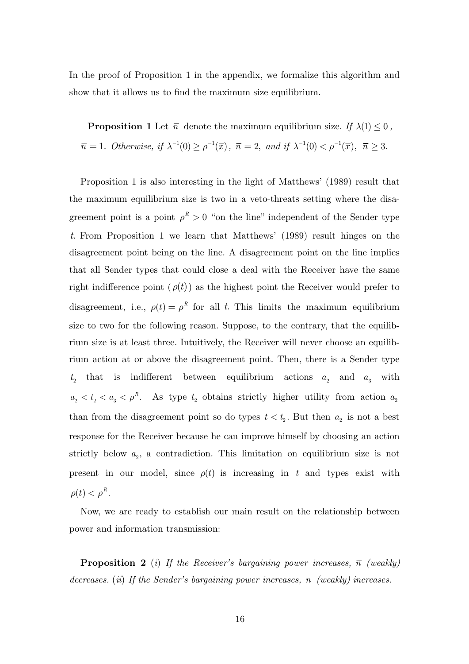In the proof of Proposition 1 in the appendix, we formalize this algorithm and show that it allows us to find the maximum size equilibrium.

**Proposition 1** Let  $\bar{n}$  denote the maximum equilibrium size. If  $\lambda(1) \leq 0$ ,  $\overline{n} = 1$ *. Otherwise, if*  $\lambda^{-1}(0) \ge \rho^{-1}(\overline{x})$ *,*  $\overline{n} = 2$ *, and if*  $\lambda^{-1}(0) < \rho^{-1}(\overline{x})$ *,*  $\overline{n} \ge 3$ *.* 

Proposition 1 is also interesting in the light of Matthews' (1989) result that the maximum equilibrium size is two in a veto-threats setting where the disagreement point is a point  $\rho^R > 0$  "on the line" independent of the Sender type *t*. From Proposition 1 we learn that Matthews' (1989) result hinges on the disagreement point being on the line. A disagreement point on the line implies that all Sender types that could close a deal with the Receiver have the same right indifference point  $(\rho(t))$  as the highest point the Receiver would prefer to disagreement, i.e.,  $\rho(t) = \rho^R$  for all *t*. This limits the maximum equilibrium size to two for the following reason. Suppose, to the contrary, that the equilibrium size is at least three. Intuitively, the Receiver will never choose an equilibrium action at or above the disagreement point. Then, there is a Sender type  $t_2$  that is indifferent between equilibrium actions  $a_2$  and  $a_3$  with  $a_2 < t_2 < a_3 < \rho^R$ . As type  $t_2$  obtains strictly higher utility from action  $a_2$ than from the disagreement point so do types  $t < t_2$ . But then  $a_2$  is not a best response for the Receiver because he can improve himself by choosing an action strictly below  $a_2$ , a contradiction. This limitation on equilibrium size is not present in our model, since  $\rho(t)$  is increasing in t and types exist with  $\rho(t) < \rho^R$ .

Now, we are ready to establish our main result on the relationship between power and information transmission:

**Proposition 2** (*i*) If the Receiver's bargaining power increases,  $\bar{n}$  (weakly) *decreases.* (*ii*) If the Sender's bargaining power increases,  $\bar{n}$  (weakly) increases.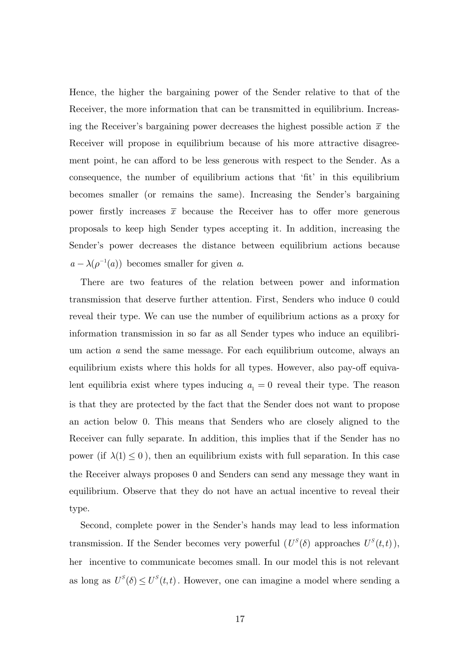Hence, the higher the bargaining power of the Sender relative to that of the Receiver, the more information that can be transmitted in equilibrium. Increasing the Receiver's bargaining power decreases the highest possible action  $\bar{x}$  the Receiver will propose in equilibrium because of his more attractive disagreement point, he can afford to be less generous with respect to the Sender. As a consequence, the number of equilibrium actions that 'fit' in this equilibrium becomes smaller (or remains the same). Increasing the Sender's bargaining power firstly increases  $\bar{x}$  because the Receiver has to offer more generous proposals to keep high Sender types accepting it. In addition, increasing the Sender's power decreases the distance between equilibrium actions because  $a - \lambda(\rho^{-1}(a))$  becomes smaller for given *a*.

There are two features of the relation between power and information transmission that deserve further attention. First, Senders who induce 0 could reveal their type. We can use the number of equilibrium actions as a proxy for information transmission in so far as all Sender types who induce an equilibrium action *a* send the same message. For each equilibrium outcome, always an equilibrium exists where this holds for all types. However, also pay-off equivalent equilibria exist where types inducing  $a_1 = 0$  reveal their type. The reason is that they are protected by the fact that the Sender does not want to propose an action below 0. This means that Senders who are closely aligned to the Receiver can fully separate. In addition, this implies that if the Sender has no power (if  $\lambda(1) \leq 0$ ), then an equilibrium exists with full separation. In this case the Receiver always proposes 0 and Senders can send any message they want in equilibrium. Observe that they do not have an actual incentive to reveal their type.

Second, complete power in the Sender's hands may lead to less information transmission. If the Sender becomes very powerful  $(U<sup>S</sup>(\delta))$  approaches  $U<sup>S</sup>(t,t)$ ), her incentive to communicate becomes small. In our model this is not relevant as long as  $U^S(\delta) \leq U^S(t,t)$ . However, one can imagine a model where sending a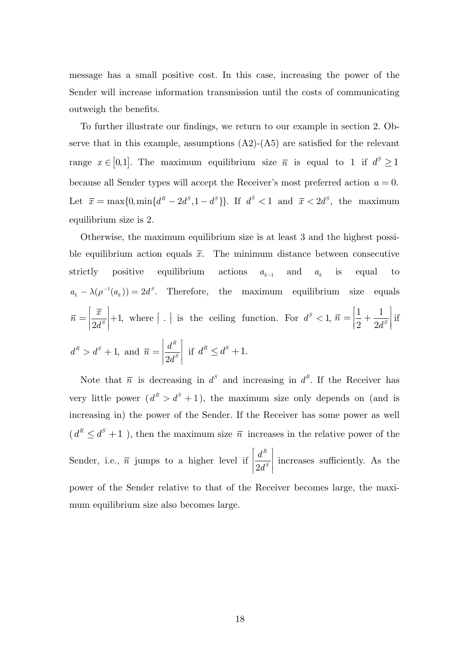message has a small positive cost. In this case, increasing the power of the Sender will increase information transmission until the costs of communicating outweigh the benefits.

To further illustrate our findings, we return to our example in section 2. Observe that in this example, assumptions  $(A2)$ - $(A5)$  are satisfied for the relevant range  $x \in [0,1]$ . The maximum equilibrium size  $\bar{n}$  is equal to 1 if  $d^S \ge 1$ because all Sender types will accept the Receiver's most preferred action  $a = 0$ . Let  $\bar{x} = \max\{0, \min\{d^R - 2d^S, 1 - d^S\}\}$ . If  $d^S < 1$  and  $\bar{x} < 2d^S$ , the maximum equilibrium size is 2.

Otherwise, the maximum equilibrium size is at least 3 and the highest possible equilibrium action equals  $\bar{x}$ . The minimum distance between consecutive strictly positive equilibrium actions  $a_{k-1}$  and  $a_k$  is equal to  $a_k - \lambda(\rho^{-1}(a_k)) = 2d^s$ . Therefore, the maximum equilibrium size equals  $\overline{n} = \left| \frac{\overline{x}}{2d^s} \right| + 1,$  $=\left[\frac{\overline{x}}{2d^s}\right] + 1$ , where  $\left[\begin{array}{c} 1 \end{array}\right]$  is the ceiling function. For  $d^s < 1$ ,  $\overline{n} = \left[\frac{1}{2} + \frac{1}{2d^s}\right]$  $\bar{n} = \left| \frac{1}{2} + \frac{1}{2d^s} \right|$ if  $d^R > d^S + 1$ , and  $2d^S$ *R*  $\overline{n} = \left| \frac{d}{a} \right|$  $=\left[\frac{d^R}{2d^S}\right]$ if  $d^R \leq d^S + 1$ .

Note that  $\bar{n}$  is decreasing in  $d^s$  and increasing in  $d^R$ . If the Receiver has very little power  $(d^R > d^S + 1)$ , the maximum size only depends on (and is increasing in) the power of the Sender. If the Receiver has some power as well  $(d^R \leq d^S + 1)$ , then the maximum size  $\bar{n}$  increases in the relative power of the Sender, i.e.,  $\overline{n}$  jumps to a higher level if  $\frac{1}{2}$ *R S d*  $\left[\frac{d^{R}}{2d^{S}}\right]$  increases sufficiently. As the power of the Sender relative to that of the Receiver becomes large, the maximum equilibrium size also becomes large.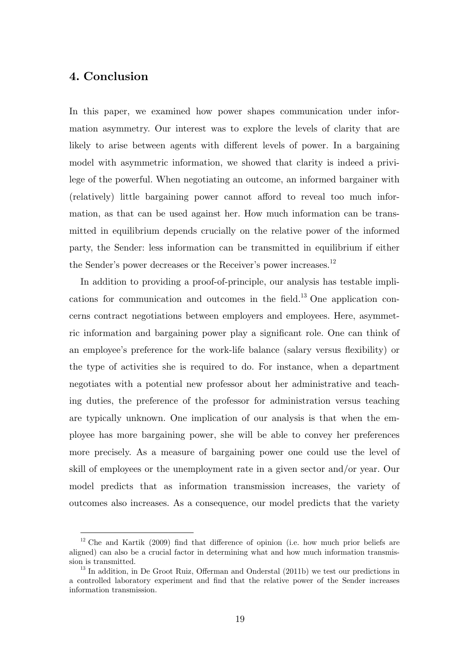# **4. Conclusion**

 $\overline{a}$ 

In this paper, we examined how power shapes communication under information asymmetry. Our interest was to explore the levels of clarity that are likely to arise between agents with different levels of power. In a bargaining model with asymmetric information, we showed that clarity is indeed a privilege of the powerful. When negotiating an outcome, an informed bargainer with (relatively) little bargaining power cannot afford to reveal too much information, as that can be used against her. How much information can be transmitted in equilibrium depends crucially on the relative power of the informed party, the Sender: less information can be transmitted in equilibrium if either the Sender's power decreases or the Receiver's power increases.<sup>12</sup>

In addition to providing a proof-of-principle, our analysis has testable implications for communication and outcomes in the field.13 One application concerns contract negotiations between employers and employees. Here, asymmetric information and bargaining power play a significant role. One can think of an employee's preference for the work-life balance (salary versus flexibility) or the type of activities she is required to do. For instance, when a department negotiates with a potential new professor about her administrative and teaching duties, the preference of the professor for administration versus teaching are typically unknown. One implication of our analysis is that when the employee has more bargaining power, she will be able to convey her preferences more precisely. As a measure of bargaining power one could use the level of skill of employees or the unemployment rate in a given sector and/or year. Our model predicts that as information transmission increases, the variety of outcomes also increases. As a consequence, our model predicts that the variety

 $12$  Che and Kartik (2009) find that difference of opinion (i.e. how much prior beliefs are aligned) can also be a crucial factor in determining what and how much information transmission is transmitted. 13 In addition, in De Groot Ruiz, Offerman and Onderstal (2011b) we test our predictions in

a controlled laboratory experiment and find that the relative power of the Sender increases information transmission.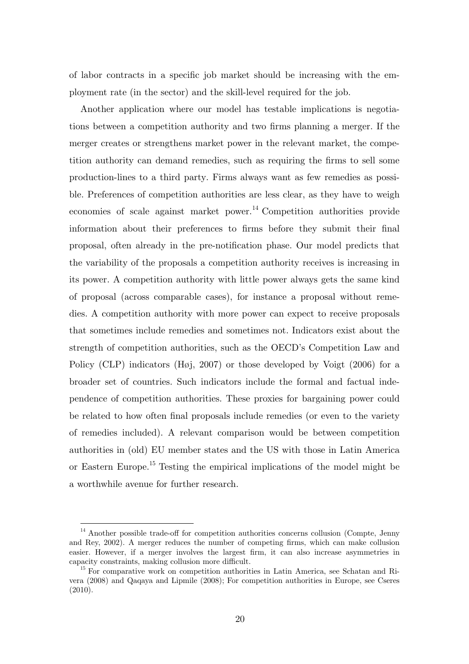of labor contracts in a specific job market should be increasing with the employment rate (in the sector) and the skill-level required for the job.

Another application where our model has testable implications is negotiations between a competition authority and two firms planning a merger. If the merger creates or strengthens market power in the relevant market, the competition authority can demand remedies, such as requiring the firms to sell some production-lines to a third party. Firms always want as few remedies as possible. Preferences of competition authorities are less clear, as they have to weigh economies of scale against market power.<sup>14</sup> Competition authorities provide information about their preferences to firms before they submit their final proposal, often already in the pre-notification phase. Our model predicts that the variability of the proposals a competition authority receives is increasing in its power. A competition authority with little power always gets the same kind of proposal (across comparable cases), for instance a proposal without remedies. A competition authority with more power can expect to receive proposals that sometimes include remedies and sometimes not. Indicators exist about the strength of competition authorities, such as the OECD's Competition Law and Policy (CLP) indicators (Høj, 2007) or those developed by Voigt (2006) for a broader set of countries. Such indicators include the formal and factual independence of competition authorities. These proxies for bargaining power could be related to how often final proposals include remedies (or even to the variety of remedies included). A relevant comparison would be between competition authorities in (old) EU member states and the US with those in Latin America or Eastern Europe.<sup>15</sup> Testing the empirical implications of the model might be a worthwhile avenue for further research.

 $\overline{a}$ 

<sup>&</sup>lt;sup>14</sup> Another possible trade-off for competition authorities concerns collusion (Compte, Jenny and Rey, 2002). A merger reduces the number of competing firms, which can make collusion easier. However, if a merger involves the largest firm, it can also increase asymmetries in capacity constraints, making collusion more difficult. 15 For comparative work on competition authorities in Latin America, see Schatan and Ri-

vera (2008) and Qaqaya and Lipmile (2008); For competition authorities in Europe, see Cseres (2010).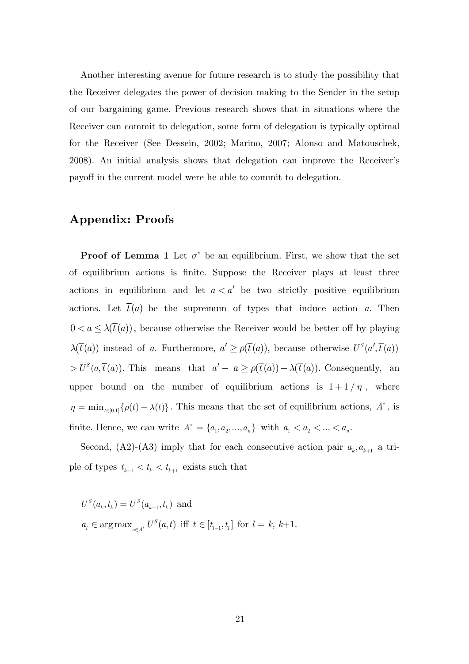Another interesting avenue for future research is to study the possibility that the Receiver delegates the power of decision making to the Sender in the setup of our bargaining game. Previous research shows that in situations where the Receiver can commit to delegation, some form of delegation is typically optimal for the Receiver (See Dessein, 2002; Marino, 2007; Alonso and Matouschek, 2008). An initial analysis shows that delegation can improve the Receiver's payoff in the current model were he able to commit to delegation.

## **Appendix: Proofs**

**Proof of Lemma 1** Let  $\sigma^*$  be an equilibrium. First, we show that the set of equilibrium actions is finite. Suppose the Receiver plays at least three actions in equilibrium and let  $a < a'$  be two strictly positive equilibrium actions. Let  $\bar{t}(a)$  be the supremum of types that induce action *a*. Then  $0 < a \leq \lambda(\bar{t}(a))$ , because otherwise the Receiver would be better off by playing  $\lambda(\bar{t}(a))$  instead of *a*. Furthermore,  $a' \ge \rho(\bar{t}(a))$ , because otherwise  $U^s(a', \bar{t}(a))$  $> U^{s}(a,\bar{t}(a))$ . This means that  $a'-a \geq \rho(\bar{t}(a)) - \lambda(\bar{t}(a))$ . Consequently, an upper bound on the number of equilibrium actions is  $1 + 1/\eta$ , where  $\eta = \min_{t \in [0,1]} {\rho(t) - \lambda(t)}$ . This means that the set of equilibrium actions,  $A^*$ , is finite. Hence, we can write  $A^* = \{a_1, a_2, ..., a_n\}$  with  $a_1 < a_2 < ... < a_n$ .

Second, (A2)-(A3) imply that for each consecutive action pair  $a_k, a_{k+1}$  a triple of types  $t_{k-1} < t_k < t_{k+1}$  exists such that

 $U^{S}(a_{k}, t_{k}) = U^{S}(a_{k+1}, t_{k})$  and  $a_l \in \arg \max_{a \in A^*} U^S(a, t)$  iff  $t \in [t_{l-1}, t_l]$  for  $l = k, k+1$ .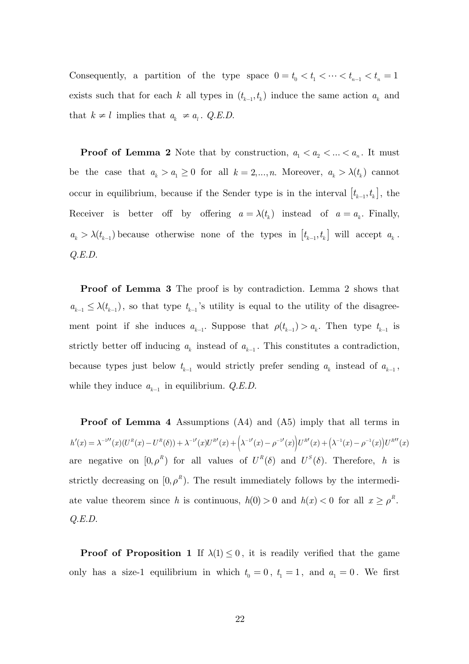Consequently, a partition of the type space  $0=t_0 < t_1 < \cdots < t_{n-1} < t_n = 1$ exists such that for each *k* all types in  $(t_{k-1}, t_k)$  induce the same action  $a_k$  and that  $k \neq l$  implies that  $a_k \neq a_l$ . *Q.E.D.* 

**Proof of Lemma 2** Note that by construction,  $a_1 < a_2 < ... < a_n$ . It must be the case that  $a_k > a_1 \geq 0$  for all  $k = 2, ..., n$ . Moreover,  $a_k > \lambda(t_k)$  cannot occur in equilibrium, because if the Sender type is in the interval  $[t_{k-1}, t_k]$ , the Receiver is better off by offering  $a = \lambda(t_k)$  instead of  $a = a_k$ . Finally,  $a_k > \lambda(t_{k-1})$  because otherwise none of the types in  $[t_{k-1}, t_k]$  will accept  $a_k$ . *Q.E.D.* 

**Proof of Lemma 3** The proof is by contradiction. Lemma 2 shows that  $a_{k-1} \leq \lambda(t_{k-1})$ , so that type  $t_{k-1}$ 's utility is equal to the utility of the disagreement point if she induces  $a_{k-1}$ . Suppose that  $\rho(t_{k-1}) > a_k$ . Then type  $t_{k-1}$  is strictly better off inducing  $a_k$  instead of  $a_{k-1}$ . This constitutes a contradiction, because types just below  $t_{k-1}$  would strictly prefer sending  $a_k$  instead of  $a_{k-1}$ , while they induce  $a_{k-1}$  in equilibrium. *Q.E.D.* 

**Proof of Lemma 4** Assumptions (A4) and (A5) imply that all terms in  $h'(x) = \lambda^{-1}{\prime\prime}(x) (U^R(x)-U^R(\delta)) + \lambda^{-1}{\prime}(x) U^{R \prime}(x) + \Big(\lambda^{-1}{\prime}(x)-\rho^{-1}{\prime}(x)\Big) U^{R \prime}(x) + \Big(\lambda^{-1}(x)-\rho^{-1}(x)\Big) U^{R \prime \prime}(x)$ are negative on  $[0, \rho^R)$  for all values of  $U^R(\delta)$  and  $U^S(\delta)$ . Therefore, *h* is strictly decreasing on  $[0, \rho^R)$ . The result immediately follows by the intermediate value theorem since *h* is continuous,  $h(0) > 0$  and  $h(x) < 0$  for all  $x \ge \rho^R$ . *Q.E.D.*

**Proof of Proposition 1** If  $\lambda(1) \leq 0$ , it is readily verified that the game only has a size-1 equilibrium in which  $t_0 = 0$ ,  $t_1 = 1$ , and  $a_1 = 0$ . We first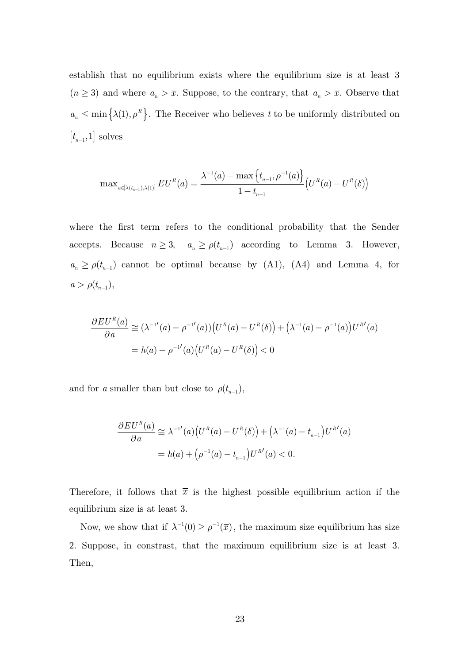establish that no equilibrium exists where the equilibrium size is at least 3  $(n \geq 3)$  and where  $a_n > \overline{x}$ . Suppose, to the contrary, that  $a_n > \overline{x}$ . Observe that  $a_n \leq \min\left\{\lambda(1), \rho^R\right\}$ . The Receiver who believes t to be uniformly distributed on  $\left[ t_{\text{\tiny $n-1$}},1 \right]$  solves

$$
\max\nolimits_{a \in [\lambda(t_{n-1}),\lambda(1)]} EU^R(a) = \frac{\lambda^{-1}(a) - \max\left\{t_{n-1}, \rho^{-1}(a)\right\}}{1 - t_{n-1}} \Big(U^R(a) - U^R(\delta)\Big)
$$

where the first term refers to the conditional probability that the Sender accepts. Because  $n \geq 3$ ,  $a_n \geq \rho(t_{n-1})$  according to Lemma 3. However,  $a_n \ge \rho(t_{n-1})$  cannot be optimal because by (A1), (A4) and Lemma 4, for  $a > \rho(t_{n-1}),$ 

$$
\frac{\partial EU^{R}(a)}{\partial a} \cong (\lambda^{-1'}(a) - \rho^{-1'}(a)) \Big( U^{R}(a) - U^{R}(\delta) \Big) + (\lambda^{-1}(a) - \rho^{-1}(a)) U^{R'}(a)
$$
  
=  $h(a) - \rho^{-1'}(a) (U^{R}(a) - U^{R}(\delta)) < 0$ 

and for *a* smaller than but close to  $\rho(t_{n-1}),$ 

$$
\frac{\partial EU^{R}(a)}{\partial a} \cong \lambda^{-1'}(a) (U^{R}(a) - U^{R}(\delta)) + (\lambda^{-1}(a) - t_{n-1}) U^{R'}(a)
$$
  
=  $h(a) + (\rho^{-1}(a) - t_{n-1}) U^{R'}(a) < 0.$ 

Therefore, it follows that  $\bar{x}$  is the highest possible equilibrium action if the equilibrium size is at least 3.

Now, we show that if  $\lambda^{-1}(0) \ge \rho^{-1}(\overline{x})$ , the maximum size equilibrium has size 2. Suppose, in constrast, that the maximum equilibrium size is at least 3. Then,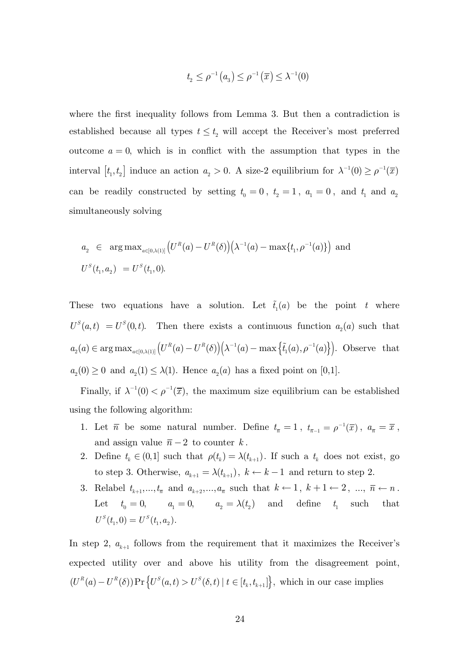$$
t_2 \le \rho^{-1}(a_3) \le \rho^{-1}(\overline{x}) \le \lambda^{-1}(0)
$$

where the first inequality follows from Lemma 3. But then a contradiction is established because all types  $t \leq t_2$  will accept the Receiver's most preferred outcome  $a = 0$ , which is in conflict with the assumption that types in the interval  $[t_1, t_2]$  induce an action  $a_2 > 0$ . A size-2 equilibrium for  $\lambda^{-1}(0) \ge \rho^{-1}(\overline{x})$ can be readily constructed by setting  $t_0 = 0$ ,  $t_2 = 1$ ,  $a_1 = 0$ , and  $t_1$  and  $a_2$ simultaneously solving

$$
a_2 \in \arg \max_{a \in [0,\lambda(1)]} \left( U^R(a) - U^R(\delta) \right) \left( \lambda^{-1}(a) - \max\{t_1, \rho^{-1}(a)\} \right) \text{ and}
$$
  

$$
U^S(t_1, a_2) = U^S(t_1, 0).
$$

These two equations have a solution. Let  $\tilde{t}_1(a)$  be the point *t* where  $U^{S}(a, t) = U^{S}(0, t)$ . Then there exists a continuous function  $a_2(a)$  such that  $a_2(a) \in \arg \max_{a \in [0, \lambda(1)]} (U^R(a) - U^R(\delta))(\lambda^{-1}(a) - \max \{\tilde{t}_1(a), \rho^{-1}(a)\})$ . Observe that  $a_2(0) \geq 0$  and  $a_2(1) \leq \lambda(1)$ . Hence  $a_2(a)$  has a fixed point on [0,1].

Finally, if  $\lambda^{-1}(0) < \rho^{-1}(\overline{x})$ , the maximum size equilibrium can be established using the following algorithm:

- 1. Let  $\bar{n}$  be some natural number. Define  $t_{\bar{n}} = 1$ ,  $t_{\bar{n}-1} = \rho^{-1}(\bar{x})$ ,  $a_{\bar{n}} = \bar{x}$ , and assign value  $\bar{n} - 2$  to counter k.
- 2. Define  $t_k \in (0,1]$  such that  $\rho(t_k) = \lambda(t_{k+1})$ . If such a  $t_k$  does not exist, go to step 3. Otherwise,  $a_{k+1} = \lambda(t_{k+1}), k \leftarrow k-1$  and return to step 2.
- 3. Relabel  $t_{k+1},..., t_{\bar{n}}$  and  $a_{k+2},..., a_{\bar{n}}$  such that  $k \leftarrow 1, k+1 \leftarrow 2, ..., \bar{n} \leftarrow n$ . Let  $t_0 = 0$ ,  $a_1 = 0$ ,  $a_2 = \lambda(t_2)$  and define  $t_1$  such that  $U^S(t_1, 0) = U^S(t_1, a_2).$

In step 2,  $a_{k+1}$  follows from the requirement that it maximizes the Receiver's expected utility over and above his utility from the disagreement point,  ${ (U^R(a) - U^R(\delta))\Pr \left\{U^S(a,t) > U^S(\delta,t) \mid t \in [t_k, t_{k+1}]\right\}},$  which in our case implies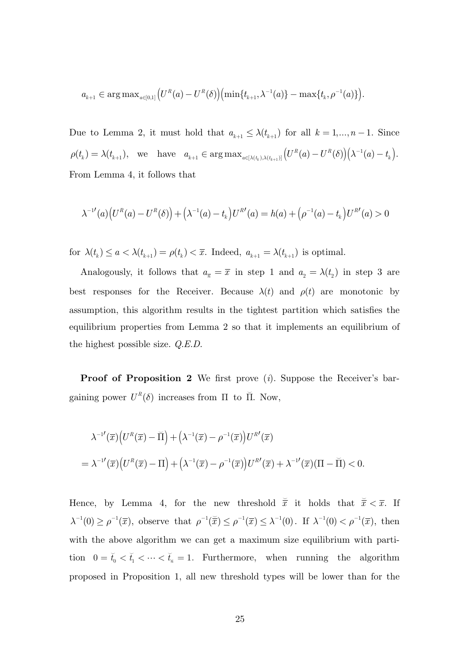$$
a_{k+1} \in \arg \max\nolimits_{a \in [0,1]} \left( U^R(a) - U^R(\delta) \right) \left( \min \{ t_{k+1}, \lambda^{-1}(a) \} - \max \{ t_k, \rho^{-1}(a) \} \right).
$$

Due to Lemma 2, it must hold that  $a_{k+1} \leq \lambda(t_{k+1})$  for all  $k = 1, ..., n-1$ . Since  $\rho(t_k) = \lambda(t_{k+1}),$  we have  $a_{k+1} \in \arg \max_{a \in [\lambda(t_k), \lambda(t_{k+1})]} (U^R(a) - U^R(\delta)) (\lambda^{-1}(a) - t_k).$ From Lemma 4, it follows that

$$
\lambda^{-1'}(a)\big(U^R(a) - U^R(\delta)\big) + \big(\lambda^{-1}(a) - t_k\big)U^{R'}(a) = h(a) + \big(\rho^{-1}(a) - t_k\big)U^{R'}(a) > 0
$$

for  $\lambda(t_k) \leq a < \lambda(t_{k+1}) = \rho(t_k) < \overline{x}$ . Indeed,  $a_{k+1} = \lambda(t_{k+1})$  is optimal.

Analogously, it follows that  $a_{\overline{n}} = \overline{x}$  in step 1 and  $a_2 = \lambda(t_2)$  in step 3 are best responses for the Receiver. Because  $\lambda(t)$  and  $\rho(t)$  are monotonic by assumption, this algorithm results in the tightest partition which satisfies the equilibrium properties from Lemma 2 so that it implements an equilibrium of the highest possible size. *Q.E.D.*

**Proof of Proposition 2** We first prove (*i*). Suppose the Receiver's bargaining power  $U^R(\delta)$  increases from  $\Pi$  to  $\breve{\Pi}$ . Now,

$$
\lambda^{-1'}(\overline{x})\left(U^R(\overline{x}) - \overline{\Pi}\right) + \left(\lambda^{-1}(\overline{x}) - \rho^{-1}(\overline{x})\right)U^{R'}(\overline{x})
$$
  
= 
$$
\lambda^{-1'}(\overline{x})\left(U^R(\overline{x}) - \Pi\right) + \left(\lambda^{-1}(\overline{x}) - \rho^{-1}(\overline{x})\right)U^{R'}(\overline{x}) + \lambda^{-1'}(\overline{x})(\Pi - \overline{\Pi}) < 0.
$$

Hence, by Lemma 4, for the new threshold  $\tilde{\vec{x}}$  it holds that  $\tilde{\vec{x}} < \bar{x}$ . If  $\lambda^{-1}(0) \ge \rho^{-1}(\overline{x})$ , observe that  $\rho^{-1}(\overline{\overline{x}}) \le \rho^{-1}(\overline{x}) \le \lambda^{-1}(0)$ . If  $\lambda^{-1}(0) < \rho^{-1}(\overline{x})$ , then with the above algorithm we can get a maximum size equilibrium with partition  $0 = \check{t}_0 < \check{t}_1 < \cdots < \check{t}_{\check{n}} = 1$ . Furthermore, when running the algorithm proposed in Proposition 1, all new threshold types will be lower than for the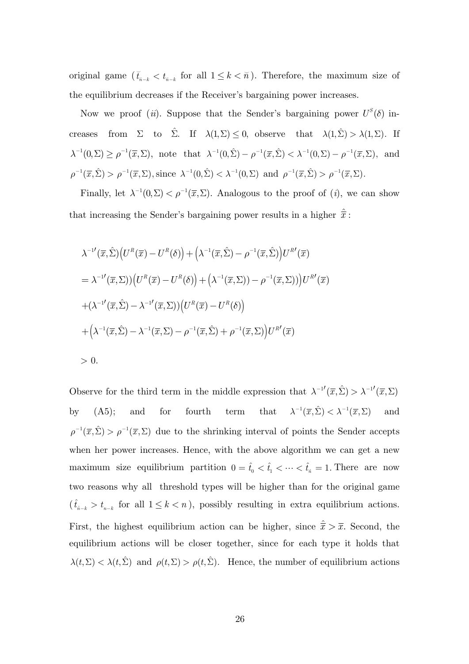original game  $(\check{t}_{\check{n}-k} < t_{\check{n}-k})$  for all  $1 \leq k < \check{n}$ ). Therefore, the maximum size of the equilibrium decreases if the Receiver's bargaining power increases.

Now we proof (*ii*). Suppose that the Sender's bargaining power  $U^S(\delta)$  increases from  $\Sigma$  to  $\hat{\Sigma}$ . If  $\lambda(1,\Sigma) \leq 0$ , observe that  $\lambda(1,\hat{\Sigma}) > \lambda(1,\Sigma)$ . If  $\lambda^{-1}(0,\Sigma) \ge \rho^{-1}(\overline{x},\Sigma)$ , note that  $\lambda^{-1}(0,\hat{\Sigma}) - \rho^{-1}(\overline{x},\hat{\Sigma}) < \lambda^{-1}(0,\Sigma) - \rho^{-1}(\overline{x},\Sigma)$ , and  $\rho^{-1}(\overline{x}, \hat{\Sigma}) > \rho^{-1}(\overline{x}, \Sigma)$ , since  $\lambda^{-1}(0, \hat{\Sigma}) < \lambda^{-1}(0, \Sigma)$  and  $\rho^{-1}(\overline{x}, \hat{\Sigma}) > \rho^{-1}(\overline{x}, \Sigma)$ .

Finally, let  $\lambda^{-1}(0, \Sigma) < \rho^{-1}(\overline{x}, \Sigma)$ . Analogous to the proof of (*i*), we can show that increasing the Sender's bargaining power results in a higher  $\bar{x}$ :

$$
\lambda^{-1'}(\overline{x}, \hat{\Sigma}) \Big( U^R(\overline{x}) - U^R(\delta) \Big) + \Big( \lambda^{-1}(\overline{x}, \hat{\Sigma}) - \rho^{-1}(\overline{x}, \hat{\Sigma}) \Big) U^R'(\overline{x})
$$
  
\n
$$
= \lambda^{-1'}(\overline{x}, \Sigma) \Big( U^R(\overline{x}) - U^R(\delta) \Big) + \Big( \lambda^{-1}(\overline{x}, \Sigma) - \rho^{-1}(\overline{x}, \Sigma) \Big) U^R'(\overline{x})
$$
  
\n
$$
+ (\lambda^{-1'}(\overline{x}, \hat{\Sigma}) - \lambda^{-1'}(\overline{x}, \Sigma)) \Big( U^R(\overline{x}) - U^R(\delta) \Big)
$$
  
\n
$$
+ \Big( \lambda^{-1}(\overline{x}, \hat{\Sigma}) - \lambda^{-1}(\overline{x}, \Sigma) - \rho^{-1}(\overline{x}, \hat{\Sigma}) + \rho^{-1}(\overline{x}, \Sigma) \Big) U^R'(\overline{x})
$$
  
\n
$$
> 0.
$$

Observe for the third term in the middle expression that  $\lambda^{-1'}(\overline{x}, \hat{\Sigma}) > \lambda^{-1'}(\overline{x}, \Sigma)$ by (A5); and for fourth term that  $\lambda^{-1}(\overline{x}, \hat{\Sigma}) < \lambda^{-1}(\overline{x}, \Sigma)$  and  $\rho^{-1}(\overline{x},\hat{\Sigma}) > \rho^{-1}(\overline{x},\Sigma)$  due to the shrinking interval of points the Sender accepts when her power increases. Hence, with the above algorithm we can get a new maximum size equilibrium partition  $0 = \hat{t}_0 < \hat{t}_1 < \cdots < \hat{t}_n = 1$ . There are now two reasons why all threshold types will be higher than for the original game  $(\hat{t}_{n-k} > t_{n-k}$  for all  $1 \leq k < n$ ), possibly resulting in extra equilibrium actions. First, the highest equilibrium action can be higher, since  $\hat{\overline{x}} > \overline{x}$ . Second, the equilibrium actions will be closer together, since for each type it holds that  $\lambda(t, \Sigma) < \lambda(t, \hat{\Sigma})$  and  $\rho(t, \Sigma) > \rho(t, \hat{\Sigma})$ . Hence, the number of equilibrium actions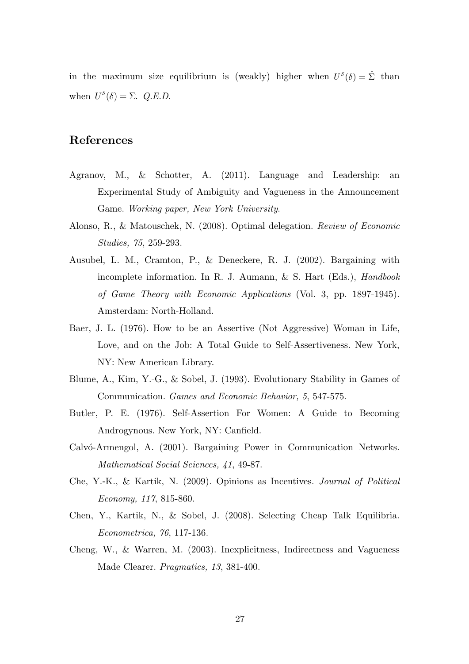in the maximum size equilibrium is (weakly) higher when  $U^{S}(\delta) = \hat{\Sigma}$  than when  $U^S(\delta) = \Sigma$ . *Q.E.D.* 

## **References**

- Agranov, M., & Schotter, A. (2011). Language and Leadership: an Experimental Study of Ambiguity and Vagueness in the Announcement Game. *Working paper, New York University*.
- Alonso, R., & Matouschek, N. (2008). Optimal delegation. *Review of Economic Studies, 75*, 259-293.
- Ausubel, L. M., Cramton, P., & Deneckere, R. J. (2002). Bargaining with incomplete information. In R. J. Aumann, & S. Hart (Eds.), *Handbook of Game Theory with Economic Applications* (Vol. 3, pp. 1897-1945). Amsterdam: North-Holland.
- Baer, J. L. (1976). How to be an Assertive (Not Aggressive) Woman in Life, Love, and on the Job: A Total Guide to Self-Assertiveness. New York, NY: New American Library.
- Blume, A., Kim, Y.-G., & Sobel, J. (1993). Evolutionary Stability in Games of Communication. *Games and Economic Behavior, 5*, 547-575.
- Butler, P. E. (1976). Self-Assertion For Women: A Guide to Becoming Androgynous. New York, NY: Canfield.
- Calvó-Armengol, A. (2001). Bargaining Power in Communication Networks. *Mathematical Social Sciences, 41*, 49-87.
- Che, Y.‐K., & Kartik, N. (2009). Opinions as Incentives. *Journal of Political Economy, 117*, 815-860.
- Chen, Y., Kartik, N., & Sobel, J. (2008). Selecting Cheap Talk Equilibria. *Econometrica, 76*, 117-136.
- Cheng, W., & Warren, M. (2003). Inexplicitness, Indirectness and Vagueness Made Clearer. *Pragmatics, 13*, 381-400.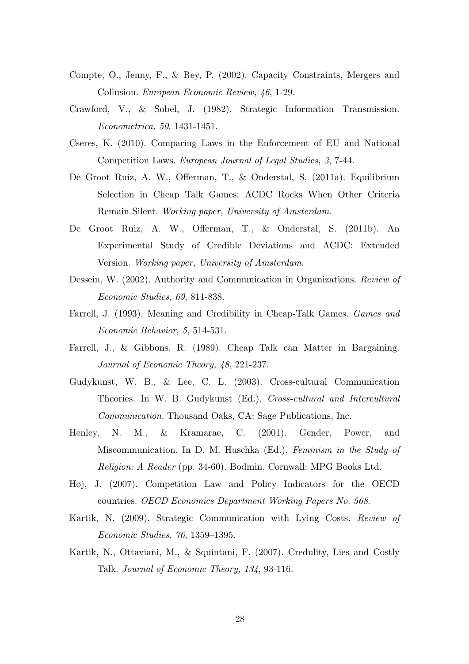- Compte, O., Jenny, F., & Rey, P. (2002). Capacity Constraints, Mergers and Collusion. *European Economic Review, 46*, 1-29.
- Crawford, V., & Sobel, J. (1982). Strategic Information Transmission. *Econometrica, 50*, 1431-1451.
- Cseres, K. (2010). Comparing Laws in the Enforcement of EU and National Competition Laws. *European Journal of Legal Studies, 3*, 7-44.
- De Groot Ruiz, A. W., Offerman, T., & Onderstal, S. (2011a). Equilibrium Selection in Cheap Talk Games: ACDC Rocks When Other Criteria Remain Silent. *Working paper, University of Amsterdam*.
- De Groot Ruiz, A. W., Offerman, T., & Onderstal, S. (2011b). An Experimental Study of Credible Deviations and ACDC: Extended Version. *Working paper, University of Amsterdam*.
- Dessein, W. (2002). Authority and Communication in Organizations. *Review of Economic Studies, 69*, 811-838.
- Farrell, J. (1993). Meaning and Credibility in Cheap-Talk Games. *Games and Economic Behavior, 5*, 514-531.
- Farrell, J., & Gibbons, R. (1989). Cheap Talk can Matter in Bargaining. *Journal of Economic Theory, 48*, 221-237.
- Gudykunst, W. B., & Lee, C. L. (2003). Cross-cultural Communication Theories. In W. B. Gudykunst (Ed.), *Cross-cultural and Intercultural Communication.* Thousand Oaks, CA: Sage Publications, Inc.
- Henley, N. M., & Kramarae, C. (2001). Gender, Power, and Miscommunication. In D. M. Huschka (Ed.), *Feminism in the Study of Religion: A Reader* (pp. 34-60). Bodmin, Cornwall: MPG Books Ltd.
- Høj, J. (2007). Competition Law and Policy Indicators for the OECD countries. *OECD Economics Department Working Papers No. 568*.
- Kartik, N. (2009). Strategic Communication with Lying Costs. *Review of Economic Studies, 76*, 1359–1395.
- Kartik, N., Ottaviani, M., & Squintani, F. (2007). Credulity, Lies and Costly Talk. *Journal of Economic Theory, 134*, 93-116.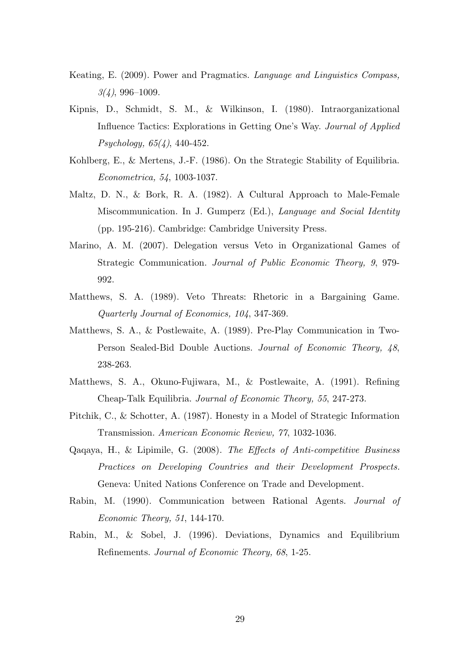- Keating, E. (2009). Power and Pragmatics. *Language and Linguistics Compass, 3(4)*, 996–1009.
- Kipnis, D., Schmidt, S. M., & Wilkinson, I. (1980). Intraorganizational Influence Tactics: Explorations in Getting One's Way. *Journal of Applied Psychology, 65(4)*, 440-452.
- Kohlberg, E., & Mertens, J.-F. (1986). On the Strategic Stability of Equilibria. *Econometrica, 54*, 1003-1037.
- Maltz, D. N., & Bork, R. A. (1982). A Cultural Approach to Male-Female Miscommunication. In J. Gumperz (Ed.), *Language and Social Identity* (pp. 195-216). Cambridge: Cambridge University Press.
- Marino, A. M. (2007). Delegation versus Veto in Organizational Games of Strategic Communication. *Journal of Public Economic Theory, 9*, 979- 992.
- Matthews, S. A. (1989). Veto Threats: Rhetoric in a Bargaining Game. *Quarterly Journal of Economics, 104*, 347-369.
- Matthews, S. A., & Postlewaite, A. (1989). Pre-Play Communication in Two-Person Sealed-Bid Double Auctions. *Journal of Economic Theory, 48*, 238-263.
- Matthews, S. A., Okuno-Fujiwara, M., & Postlewaite, A. (1991). Refining Cheap-Talk Equilibria. *Journal of Economic Theory, 55*, 247-273.
- Pitchik, C., & Schotter, A. (1987). Honesty in a Model of Strategic Information Transmission. *American Economic Review, 77*, 1032-1036.
- Qaqaya, H., & Lipimile, G. (2008). *The Effects of Anti-competitive Business Practices on Developing Countries and their Development Prospects.* Geneva: United Nations Conference on Trade and Development.
- Rabin, M. (1990). Communication between Rational Agents. *Journal of Economic Theory, 51*, 144-170.
- Rabin, M., & Sobel, J. (1996). Deviations, Dynamics and Equilibrium Refinements. *Journal of Economic Theory, 68*, 1-25.